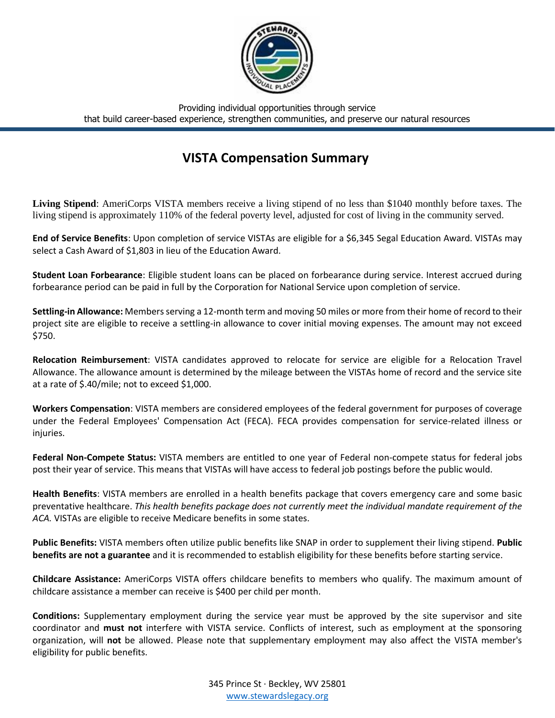

Providing individual opportunities through service that build career-based experience, strengthen communities, and preserve our natural resources

## **VISTA Compensation Summary**

**Living Stipend**: AmeriCorps VISTA members receive a living stipend of no less than \$1040 monthly before taxes. The living stipend is approximately 110% of the federal poverty level, adjusted for cost of living in the community served.

**End of Service Benefits**: Upon completion of service VISTAs are eligible for a \$6,345 Segal Education Award. VISTAs may select a Cash Award of \$1,803 in lieu of the Education Award.

**Student Loan Forbearance**: Eligible student loans can be placed on forbearance during service. Interest accrued during forbearance period can be paid in full by the Corporation for National Service upon completion of service.

**Settling-in Allowance:** Members serving a 12-month term and moving 50 miles or more from their home of record to their project site are eligible to receive a settling-in allowance to cover initial moving expenses. The amount may not exceed \$750.

**Relocation Reimbursement**: VISTA candidates approved to relocate for service are eligible for a Relocation Travel Allowance. The allowance amount is determined by the mileage between the VISTAs home of record and the service site at a rate of \$.40/mile; not to exceed \$1,000.

**Workers Compensation**: VISTA members are considered employees of the federal government for purposes of coverage under the Federal Employees' Compensation Act (FECA). FECA provides compensation for service-related illness or injuries.

**Federal Non-Compete Status:** VISTA members are entitled to one year of Federal non-compete status for federal jobs post their year of service. This means that VISTAs will have access to federal job postings before the public would.

**Health Benefits**: VISTA members are enrolled in a health benefits package that covers emergency care and some basic preventative healthcare. *This health benefits package does not currently meet the individual mandate requirement of the ACA.* VISTAs are eligible to receive Medicare benefits in some states.

**Public Benefits:** VISTA members often utilize public benefits like SNAP in order to supplement their living stipend. **Public benefits are not a guarantee** and it is recommended to establish eligibility for these benefits before starting service.

**Childcare Assistance:** AmeriCorps VISTA offers childcare benefits to members who qualify. The maximum amount of childcare assistance a member can receive is \$400 per child per month.

**Conditions:** Supplementary employment during the service year must be approved by the site supervisor and site coordinator and **must not** interfere with VISTA service. Conflicts of interest, such as employment at the sponsoring organization, will **not** be allowed. Please note that supplementary employment may also affect the VISTA member's eligibility for public benefits.

> 345 Prince St · Beckley, WV 25801 [www.stewardslegacy.org](http://www.stewardslegacy.org/)